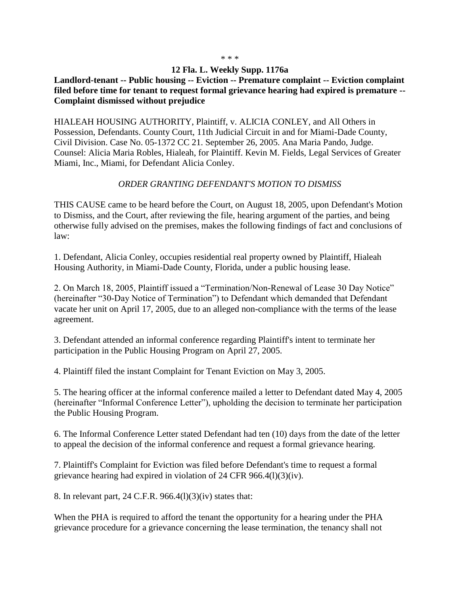## \* \* \*

## **12 Fla. L. Weekly Supp. 1176a**

**Landlord-tenant -- Public housing -- Eviction -- Premature complaint -- Eviction complaint filed before time for tenant to request formal grievance hearing had expired is premature -- Complaint dismissed without prejudice**

HIALEAH HOUSING AUTHORITY, Plaintiff, v. ALICIA CONLEY, and All Others in Possession, Defendants. County Court, 11th Judicial Circuit in and for Miami-Dade County, Civil Division. Case No. 05-1372 CC 21. September 26, 2005. Ana Maria Pando, Judge. Counsel: Alicia Maria Robles, Hialeah, for Plaintiff. Kevin M. Fields, Legal Services of Greater Miami, Inc., Miami, for Defendant Alicia Conley.

## *ORDER GRANTING DEFENDANT'S MOTION TO DISMISS*

THIS CAUSE came to be heard before the Court, on August 18, 2005, upon Defendant's Motion to Dismiss, and the Court, after reviewing the file, hearing argument of the parties, and being otherwise fully advised on the premises, makes the following findings of fact and conclusions of law:

1. Defendant, Alicia Conley, occupies residential real property owned by Plaintiff, Hialeah Housing Authority, in Miami-Dade County, Florida, under a public housing lease.

2. On March 18, 2005, Plaintiff issued a "Termination/Non-Renewal of Lease 30 Day Notice" (hereinafter "30-Day Notice of Termination") to Defendant which demanded that Defendant vacate her unit on April 17, 2005, due to an alleged non-compliance with the terms of the lease agreement.

3. Defendant attended an informal conference regarding Plaintiff's intent to terminate her participation in the Public Housing Program on April 27, 2005.

4. Plaintiff filed the instant Complaint for Tenant Eviction on May 3, 2005.

5. The hearing officer at the informal conference mailed a letter to Defendant dated May 4, 2005 (hereinafter "Informal Conference Letter"), upholding the decision to terminate her participation the Public Housing Program.

6. The Informal Conference Letter stated Defendant had ten (10) days from the date of the letter to appeal the decision of the informal conference and request a formal grievance hearing.

7. Plaintiff's Complaint for Eviction was filed before Defendant's time to request a formal grievance hearing had expired in violation of 24 CFR 966.4(l)(3)(iv).

8. In relevant part, 24 C.F.R. 966.4(l)(3)(iv) states that:

When the PHA is required to afford the tenant the opportunity for a hearing under the PHA grievance procedure for a grievance concerning the lease termination, the tenancy shall not